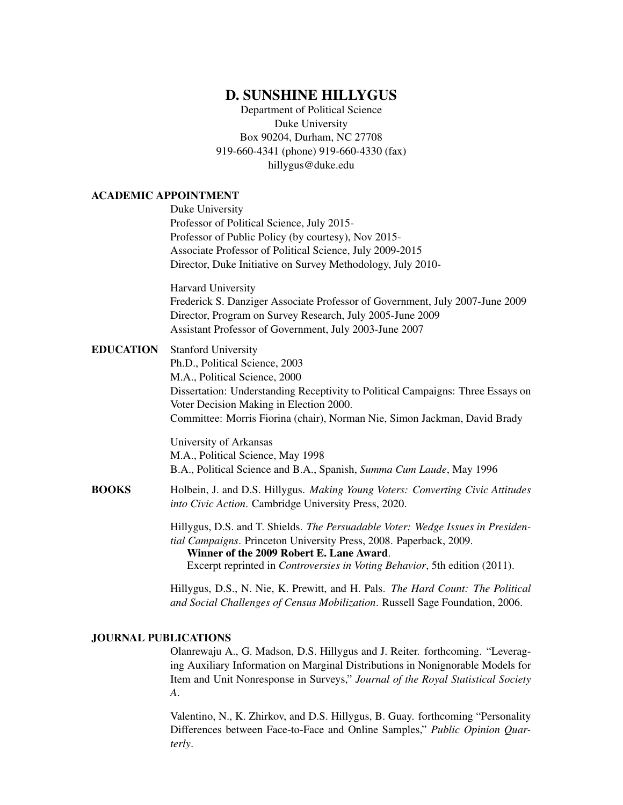# D. SUNSHINE HILLYGUS

Department of Political Science Duke University Box 90204, Durham, NC 27708 919-660-4341 (phone) 919-660-4330 (fax) hillygus@duke.edu

# ACADEMIC APPOINTMENT

|                  | ACADEMIC APPOINTMENT                                                                                                                                                                              |
|------------------|---------------------------------------------------------------------------------------------------------------------------------------------------------------------------------------------------|
|                  | Duke University                                                                                                                                                                                   |
|                  | Professor of Political Science, July 2015-                                                                                                                                                        |
|                  | Professor of Public Policy (by courtesy), Nov 2015-                                                                                                                                               |
|                  | Associate Professor of Political Science, July 2009-2015                                                                                                                                          |
|                  | Director, Duke Initiative on Survey Methodology, July 2010-                                                                                                                                       |
|                  | Harvard University                                                                                                                                                                                |
|                  | Frederick S. Danziger Associate Professor of Government, July 2007-June 2009<br>Director, Program on Survey Research, July 2005-June 2009                                                         |
|                  | Assistant Professor of Government, July 2003-June 2007                                                                                                                                            |
| <b>EDUCATION</b> | <b>Stanford University</b>                                                                                                                                                                        |
|                  | Ph.D., Political Science, 2003                                                                                                                                                                    |
|                  | M.A., Political Science, 2000                                                                                                                                                                     |
|                  | Dissertation: Understanding Receptivity to Political Campaigns: Three Essays on                                                                                                                   |
|                  | Voter Decision Making in Election 2000.                                                                                                                                                           |
|                  | Committee: Morris Fiorina (chair), Norman Nie, Simon Jackman, David Brady                                                                                                                         |
|                  | University of Arkansas                                                                                                                                                                            |
|                  | M.A., Political Science, May 1998                                                                                                                                                                 |
|                  | B.A., Political Science and B.A., Spanish, Summa Cum Laude, May 1996                                                                                                                              |
| <b>BOOKS</b>     | Holbein, J. and D.S. Hillygus. Making Young Voters: Converting Civic Attitudes<br>into Civic Action. Cambridge University Press, 2020.                                                            |
|                  | Hillygus, D.S. and T. Shields. The Persuadable Voter: Wedge Issues in Presiden-<br>tial Campaigns. Princeton University Press, 2008. Paperback, 2009.<br>Winner of the 2009 Robert E. Lane Award. |
|                  | Excerpt reprinted in Controversies in Voting Behavior, 5th edition (2011).                                                                                                                        |
|                  | Hillygus, D.S., N. Nie, K. Prewitt, and H. Pals. The Hard Count: The Political                                                                                                                    |
|                  | and Social Challenges of Census Mobilization. Russell Sage Foundation, 2006.                                                                                                                      |

### JOURNAL PUBLICATIONS

Olanrewaju A., G. Madson, D.S. Hillygus and J. Reiter. forthcoming. "Leveraging Auxiliary Information on Marginal Distributions in Nonignorable Models for Item and Unit Nonresponse in Surveys," *Journal of the Royal Statistical Society A*.

Valentino, N., K. Zhirkov, and D.S. Hillygus, B. Guay. forthcoming "Personality Differences between Face-to-Face and Online Samples," *Public Opinion Quarterly*.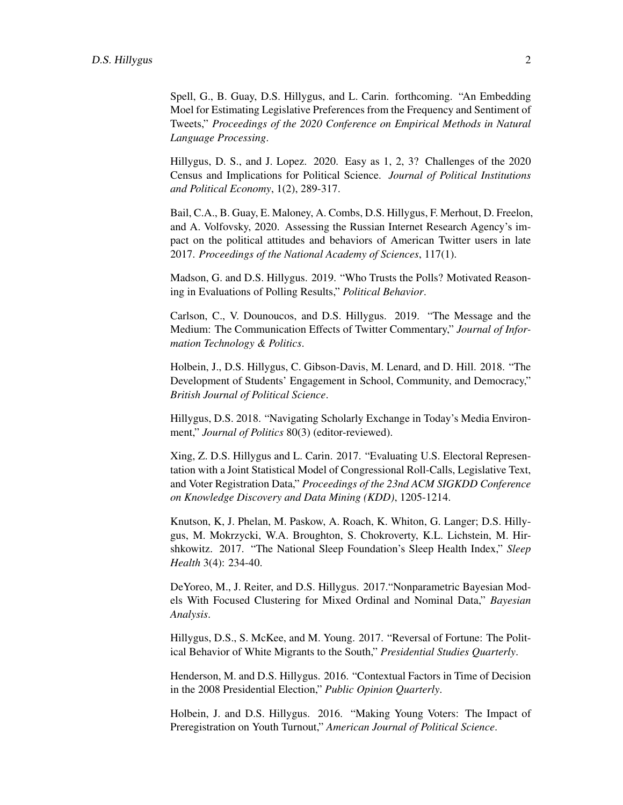Spell, G., B. Guay, D.S. Hillygus, and L. Carin. forthcoming. "An Embedding Moel for Estimating Legislative Preferences from the Frequency and Sentiment of Tweets," *Proceedings of the 2020 Conference on Empirical Methods in Natural Language Processing*.

Hillygus, D. S., and J. Lopez. 2020. Easy as 1, 2, 3? Challenges of the 2020 Census and Implications for Political Science. *Journal of Political Institutions and Political Economy*, 1(2), 289-317.

Bail, C.A., B. Guay, E. Maloney, A. Combs, D.S. Hillygus, F. Merhout, D. Freelon, and A. Volfovsky, 2020. Assessing the Russian Internet Research Agency's impact on the political attitudes and behaviors of American Twitter users in late 2017. *Proceedings of the National Academy of Sciences*, 117(1).

Madson, G. and D.S. Hillygus. 2019. "Who Trusts the Polls? Motivated Reasoning in Evaluations of Polling Results," *Political Behavior*.

Carlson, C., V. Dounoucos, and D.S. Hillygus. 2019. "The Message and the Medium: The Communication Effects of Twitter Commentary," *Journal of Information Technology & Politics*.

Holbein, J., D.S. Hillygus, C. Gibson-Davis, M. Lenard, and D. Hill. 2018. "The Development of Students' Engagement in School, Community, and Democracy," *British Journal of Political Science*.

Hillygus, D.S. 2018. "Navigating Scholarly Exchange in Today's Media Environment," *Journal of Politics* 80(3) (editor-reviewed).

Xing, Z. D.S. Hillygus and L. Carin. 2017. "Evaluating U.S. Electoral Representation with a Joint Statistical Model of Congressional Roll-Calls, Legislative Text, and Voter Registration Data," *Proceedings of the 23nd ACM SIGKDD Conference on Knowledge Discovery and Data Mining (KDD)*, 1205-1214.

Knutson, K, J. Phelan, M. Paskow, A. Roach, K. Whiton, G. Langer; D.S. Hillygus, M. Mokrzycki, W.A. Broughton, S. Chokroverty, K.L. Lichstein, M. Hirshkowitz. 2017. "The National Sleep Foundation's Sleep Health Index," *Sleep Health* 3(4): 234-40.

DeYoreo, M., J. Reiter, and D.S. Hillygus. 2017."Nonparametric Bayesian Models With Focused Clustering for Mixed Ordinal and Nominal Data," *Bayesian Analysis*.

Hillygus, D.S., S. McKee, and M. Young. 2017. "Reversal of Fortune: The Political Behavior of White Migrants to the South," *Presidential Studies Quarterly*.

Henderson, M. and D.S. Hillygus. 2016. "Contextual Factors in Time of Decision in the 2008 Presidential Election," *Public Opinion Quarterly*.

Holbein, J. and D.S. Hillygus. 2016. "Making Young Voters: The Impact of Preregistration on Youth Turnout," *American Journal of Political Science*.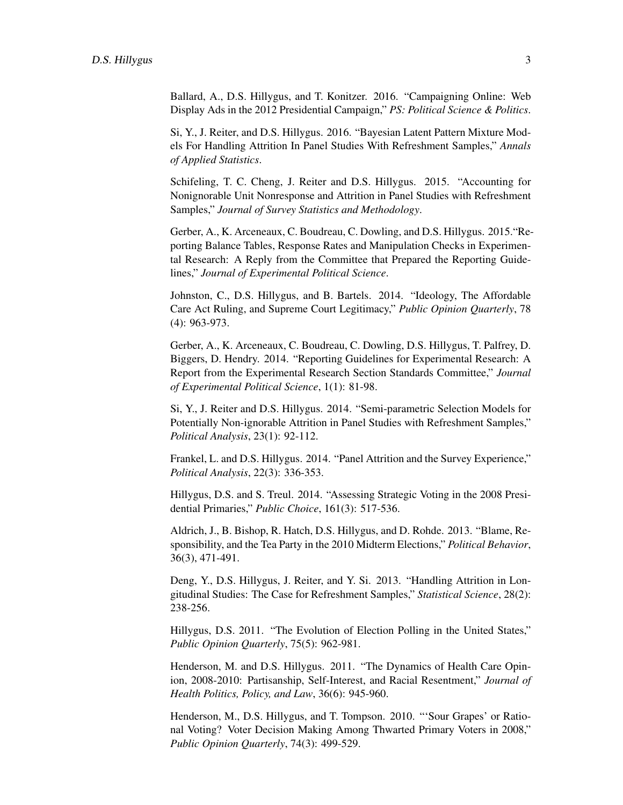Ballard, A., D.S. Hillygus, and T. Konitzer. 2016. "Campaigning Online: Web Display Ads in the 2012 Presidential Campaign," *PS: Political Science & Politics*.

Si, Y., J. Reiter, and D.S. Hillygus. 2016. "Bayesian Latent Pattern Mixture Models For Handling Attrition In Panel Studies With Refreshment Samples," *Annals of Applied Statistics*.

Schifeling, T. C. Cheng, J. Reiter and D.S. Hillygus. 2015. "Accounting for Nonignorable Unit Nonresponse and Attrition in Panel Studies with Refreshment Samples," *Journal of Survey Statistics and Methodology*.

Gerber, A., K. Arceneaux, C. Boudreau, C. Dowling, and D.S. Hillygus. 2015."Reporting Balance Tables, Response Rates and Manipulation Checks in Experimental Research: A Reply from the Committee that Prepared the Reporting Guidelines," *Journal of Experimental Political Science*.

Johnston, C., D.S. Hillygus, and B. Bartels. 2014. "Ideology, The Affordable Care Act Ruling, and Supreme Court Legitimacy," *Public Opinion Quarterly*, 78 (4): 963-973.

Gerber, A., K. Arceneaux, C. Boudreau, C. Dowling, D.S. Hillygus, T. Palfrey, D. Biggers, D. Hendry. 2014. "Reporting Guidelines for Experimental Research: A Report from the Experimental Research Section Standards Committee," *Journal of Experimental Political Science*, 1(1): 81-98.

Si, Y., J. Reiter and D.S. Hillygus. 2014. "Semi-parametric Selection Models for Potentially Non-ignorable Attrition in Panel Studies with Refreshment Samples," *Political Analysis*, 23(1): 92-112.

Frankel, L. and D.S. Hillygus. 2014. "Panel Attrition and the Survey Experience," *Political Analysis*, 22(3): 336-353.

Hillygus, D.S. and S. Treul. 2014. "Assessing Strategic Voting in the 2008 Presidential Primaries," *Public Choice*, 161(3): 517-536.

Aldrich, J., B. Bishop, R. Hatch, D.S. Hillygus, and D. Rohde. 2013. "Blame, Responsibility, and the Tea Party in the 2010 Midterm Elections," *Political Behavior*, 36(3), 471-491.

Deng, Y., D.S. Hillygus, J. Reiter, and Y. Si. 2013. "Handling Attrition in Longitudinal Studies: The Case for Refreshment Samples," *Statistical Science*, 28(2): 238-256.

Hillygus, D.S. 2011. "The Evolution of Election Polling in the United States," *Public Opinion Quarterly*, 75(5): 962-981.

Henderson, M. and D.S. Hillygus. 2011. "The Dynamics of Health Care Opinion, 2008-2010: Partisanship, Self-Interest, and Racial Resentment," *Journal of Health Politics, Policy, and Law*, 36(6): 945-960.

Henderson, M., D.S. Hillygus, and T. Tompson. 2010. "'Sour Grapes' or Rational Voting? Voter Decision Making Among Thwarted Primary Voters in 2008," *Public Opinion Quarterly*, 74(3): 499-529.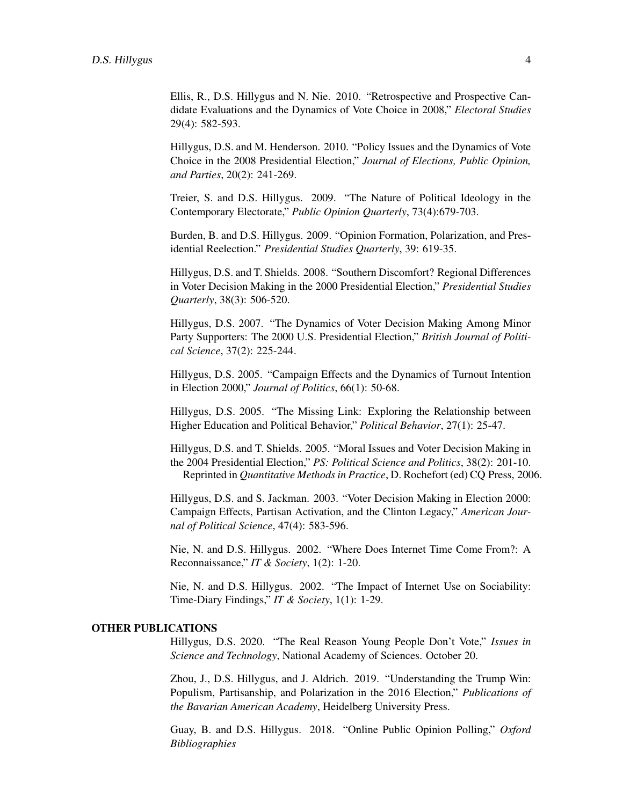Ellis, R., D.S. Hillygus and N. Nie. 2010. "Retrospective and Prospective Candidate Evaluations and the Dynamics of Vote Choice in 2008," *Electoral Studies* 29(4): 582-593.

Hillygus, D.S. and M. Henderson. 2010. "Policy Issues and the Dynamics of Vote Choice in the 2008 Presidential Election," *Journal of Elections, Public Opinion, and Parties*, 20(2): 241-269.

Treier, S. and D.S. Hillygus. 2009. "The Nature of Political Ideology in the Contemporary Electorate," *Public Opinion Quarterly*, 73(4):679-703.

Burden, B. and D.S. Hillygus. 2009. "Opinion Formation, Polarization, and Presidential Reelection." *Presidential Studies Quarterly*, 39: 619-35.

Hillygus, D.S. and T. Shields. 2008. "Southern Discomfort? Regional Differences in Voter Decision Making in the 2000 Presidential Election," *Presidential Studies Quarterly*, 38(3): 506-520.

Hillygus, D.S. 2007. "The Dynamics of Voter Decision Making Among Minor Party Supporters: The 2000 U.S. Presidential Election," *British Journal of Political Science*, 37(2): 225-244.

Hillygus, D.S. 2005. "Campaign Effects and the Dynamics of Turnout Intention in Election 2000," *Journal of Politics*, 66(1): 50-68.

Hillygus, D.S. 2005. "The Missing Link: Exploring the Relationship between Higher Education and Political Behavior," *Political Behavior*, 27(1): 25-47.

Hillygus, D.S. and T. Shields. 2005. "Moral Issues and Voter Decision Making in the 2004 Presidential Election," *PS: Political Science and Politics*, 38(2): 201-10. Reprinted in *Quantitative Methods in Practice*, D. Rochefort (ed) CQ Press, 2006.

Hillygus, D.S. and S. Jackman. 2003. "Voter Decision Making in Election 2000: Campaign Effects, Partisan Activation, and the Clinton Legacy," *American Journal of Political Science*, 47(4): 583-596.

Nie, N. and D.S. Hillygus. 2002. "Where Does Internet Time Come From?: A Reconnaissance," *IT & Society*, 1(2): 1-20.

Nie, N. and D.S. Hillygus. 2002. "The Impact of Internet Use on Sociability: Time-Diary Findings," *IT & Society*, 1(1): 1-29.

#### OTHER PUBLICATIONS

Hillygus, D.S. 2020. "The Real Reason Young People Don't Vote," *Issues in Science and Technology*, National Academy of Sciences. October 20.

Zhou, J., D.S. Hillygus, and J. Aldrich. 2019. "Understanding the Trump Win: Populism, Partisanship, and Polarization in the 2016 Election," *Publications of the Bavarian American Academy*, Heidelberg University Press.

Guay, B. and D.S. Hillygus. 2018. "Online Public Opinion Polling," *Oxford Bibliographies*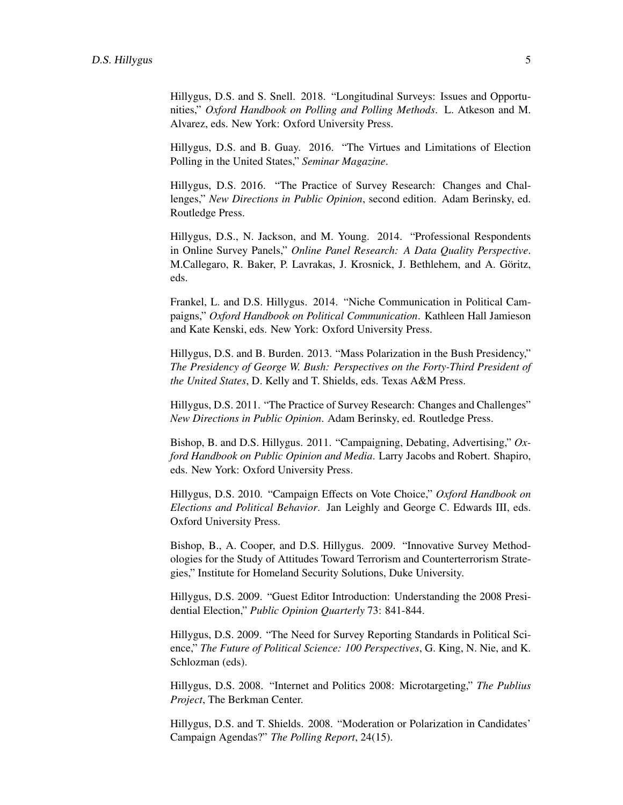Hillygus, D.S. and S. Snell. 2018. "Longitudinal Surveys: Issues and Opportunities," *Oxford Handbook on Polling and Polling Methods*. L. Atkeson and M. Alvarez, eds. New York: Oxford University Press.

Hillygus, D.S. and B. Guay. 2016. "The Virtues and Limitations of Election Polling in the United States," *Seminar Magazine*.

Hillygus, D.S. 2016. "The Practice of Survey Research: Changes and Challenges," *New Directions in Public Opinion*, second edition. Adam Berinsky, ed. Routledge Press.

Hillygus, D.S., N. Jackson, and M. Young. 2014. "Professional Respondents in Online Survey Panels," *Online Panel Research: A Data Quality Perspective*. M.Callegaro, R. Baker, P. Lavrakas, J. Krosnick, J. Bethlehem, and A. Göritz, eds.

Frankel, L. and D.S. Hillygus. 2014. "Niche Communication in Political Campaigns," *Oxford Handbook on Political Communication*. Kathleen Hall Jamieson and Kate Kenski, eds. New York: Oxford University Press.

Hillygus, D.S. and B. Burden. 2013. "Mass Polarization in the Bush Presidency," *The Presidency of George W. Bush: Perspectives on the Forty-Third President of the United States*, D. Kelly and T. Shields, eds. Texas A&M Press.

Hillygus, D.S. 2011. "The Practice of Survey Research: Changes and Challenges" *New Directions in Public Opinion*. Adam Berinsky, ed. Routledge Press.

Bishop, B. and D.S. Hillygus. 2011. "Campaigning, Debating, Advertising," *Oxford Handbook on Public Opinion and Media*. Larry Jacobs and Robert. Shapiro, eds. New York: Oxford University Press.

Hillygus, D.S. 2010. "Campaign Effects on Vote Choice," *Oxford Handbook on Elections and Political Behavior*. Jan Leighly and George C. Edwards III, eds. Oxford University Press.

Bishop, B., A. Cooper, and D.S. Hillygus. 2009. "Innovative Survey Methodologies for the Study of Attitudes Toward Terrorism and Counterterrorism Strategies," Institute for Homeland Security Solutions, Duke University.

Hillygus, D.S. 2009. "Guest Editor Introduction: Understanding the 2008 Presidential Election," *Public Opinion Quarterly* 73: 841-844.

Hillygus, D.S. 2009. "The Need for Survey Reporting Standards in Political Science," *The Future of Political Science: 100 Perspectives*, G. King, N. Nie, and K. Schlozman (eds).

Hillygus, D.S. 2008. "Internet and Politics 2008: Microtargeting," *The Publius Project*, The Berkman Center.

Hillygus, D.S. and T. Shields. 2008. "Moderation or Polarization in Candidates' Campaign Agendas?" *The Polling Report*, 24(15).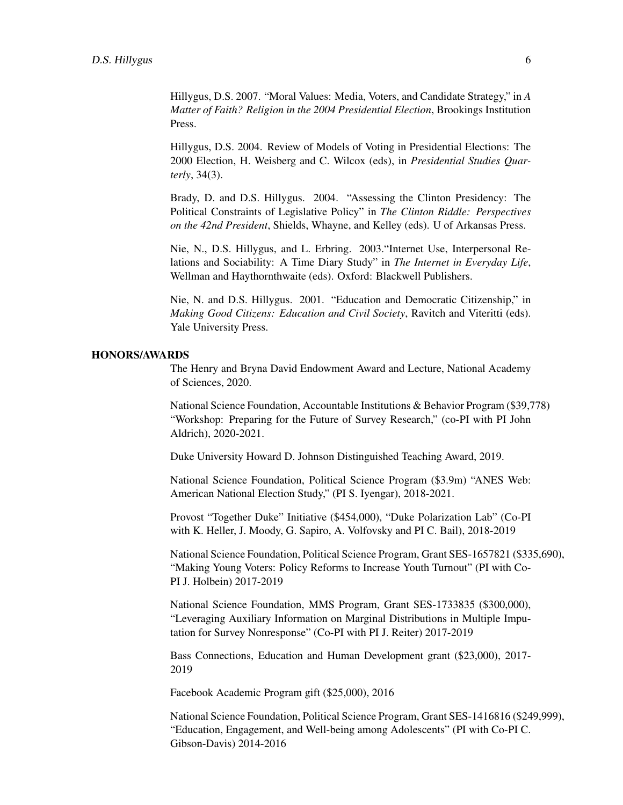Hillygus, D.S. 2007. "Moral Values: Media, Voters, and Candidate Strategy," in *A Matter of Faith? Religion in the 2004 Presidential Election*, Brookings Institution Press.

Hillygus, D.S. 2004. Review of Models of Voting in Presidential Elections: The 2000 Election, H. Weisberg and C. Wilcox (eds), in *Presidential Studies Quarterly*, 34(3).

Brady, D. and D.S. Hillygus. 2004. "Assessing the Clinton Presidency: The Political Constraints of Legislative Policy" in *The Clinton Riddle: Perspectives on the 42nd President*, Shields, Whayne, and Kelley (eds). U of Arkansas Press.

Nie, N., D.S. Hillygus, and L. Erbring. 2003."Internet Use, Interpersonal Relations and Sociability: A Time Diary Study" in *The Internet in Everyday Life*, Wellman and Haythornthwaite (eds). Oxford: Blackwell Publishers.

Nie, N. and D.S. Hillygus. 2001. "Education and Democratic Citizenship," in *Making Good Citizens: Education and Civil Society*, Ravitch and Viteritti (eds). Yale University Press.

#### HONORS/AWARDS

The Henry and Bryna David Endowment Award and Lecture, National Academy of Sciences, 2020.

National Science Foundation, Accountable Institutions & Behavior Program (\$39,778) "Workshop: Preparing for the Future of Survey Research," (co-PI with PI John Aldrich), 2020-2021.

Duke University Howard D. Johnson Distinguished Teaching Award, 2019.

National Science Foundation, Political Science Program (\$3.9m) "ANES Web: American National Election Study," (PI S. Iyengar), 2018-2021.

Provost "Together Duke" Initiative (\$454,000), "Duke Polarization Lab" (Co-PI with K. Heller, J. Moody, G. Sapiro, A. Volfovsky and PI C. Bail), 2018-2019

National Science Foundation, Political Science Program, Grant SES-1657821 (\$335,690), "Making Young Voters: Policy Reforms to Increase Youth Turnout" (PI with Co-PI J. Holbein) 2017-2019

National Science Foundation, MMS Program, Grant SES-1733835 (\$300,000), "Leveraging Auxiliary Information on Marginal Distributions in Multiple Imputation for Survey Nonresponse" (Co-PI with PI J. Reiter) 2017-2019

Bass Connections, Education and Human Development grant (\$23,000), 2017- 2019

Facebook Academic Program gift (\$25,000), 2016

National Science Foundation, Political Science Program, Grant SES-1416816 (\$249,999), "Education, Engagement, and Well-being among Adolescents" (PI with Co-PI C. Gibson-Davis) 2014-2016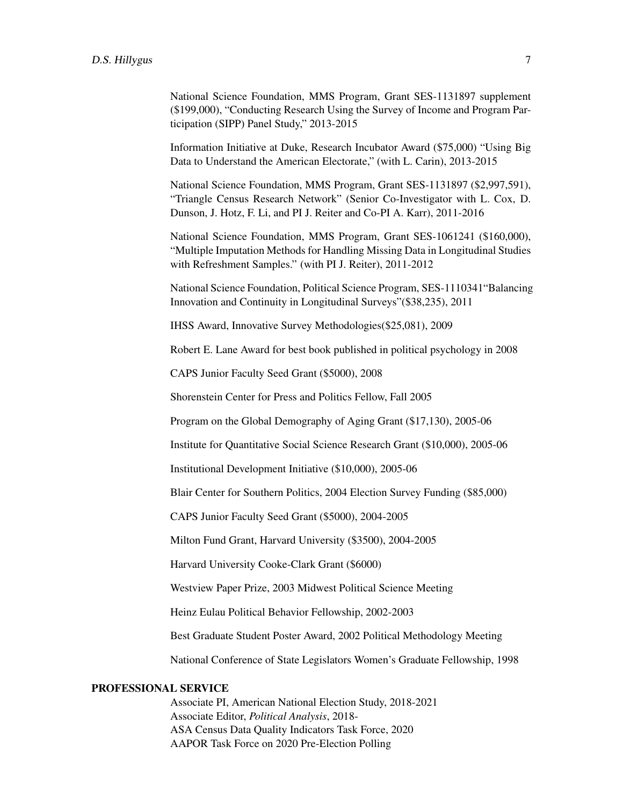National Science Foundation, MMS Program, Grant SES-1131897 supplement (\$199,000), "Conducting Research Using the Survey of Income and Program Participation (SIPP) Panel Study," 2013-2015

Information Initiative at Duke, Research Incubator Award (\$75,000) "Using Big Data to Understand the American Electorate," (with L. Carin), 2013-2015

National Science Foundation, MMS Program, Grant SES-1131897 (\$2,997,591), "Triangle Census Research Network" (Senior Co-Investigator with L. Cox, D. Dunson, J. Hotz, F. Li, and PI J. Reiter and Co-PI A. Karr), 2011-2016

National Science Foundation, MMS Program, Grant SES-1061241 (\$160,000), "Multiple Imputation Methods for Handling Missing Data in Longitudinal Studies with Refreshment Samples." (with PI J. Reiter), 2011-2012

National Science Foundation, Political Science Program, SES-1110341"Balancing Innovation and Continuity in Longitudinal Surveys"(\$38,235), 2011

IHSS Award, Innovative Survey Methodologies(\$25,081), 2009

Robert E. Lane Award for best book published in political psychology in 2008

CAPS Junior Faculty Seed Grant (\$5000), 2008

Shorenstein Center for Press and Politics Fellow, Fall 2005

Program on the Global Demography of Aging Grant (\$17,130), 2005-06

Institute for Quantitative Social Science Research Grant (\$10,000), 2005-06

Institutional Development Initiative (\$10,000), 2005-06

Blair Center for Southern Politics, 2004 Election Survey Funding (\$85,000)

CAPS Junior Faculty Seed Grant (\$5000), 2004-2005

Milton Fund Grant, Harvard University (\$3500), 2004-2005

Harvard University Cooke-Clark Grant (\$6000)

Westview Paper Prize, 2003 Midwest Political Science Meeting

Heinz Eulau Political Behavior Fellowship, 2002-2003

Best Graduate Student Poster Award, 2002 Political Methodology Meeting

National Conference of State Legislators Women's Graduate Fellowship, 1998

### PROFESSIONAL SERVICE

Associate PI, American National Election Study, 2018-2021 Associate Editor, *Political Analysis*, 2018- ASA Census Data Quality Indicators Task Force, 2020 AAPOR Task Force on 2020 Pre-Election Polling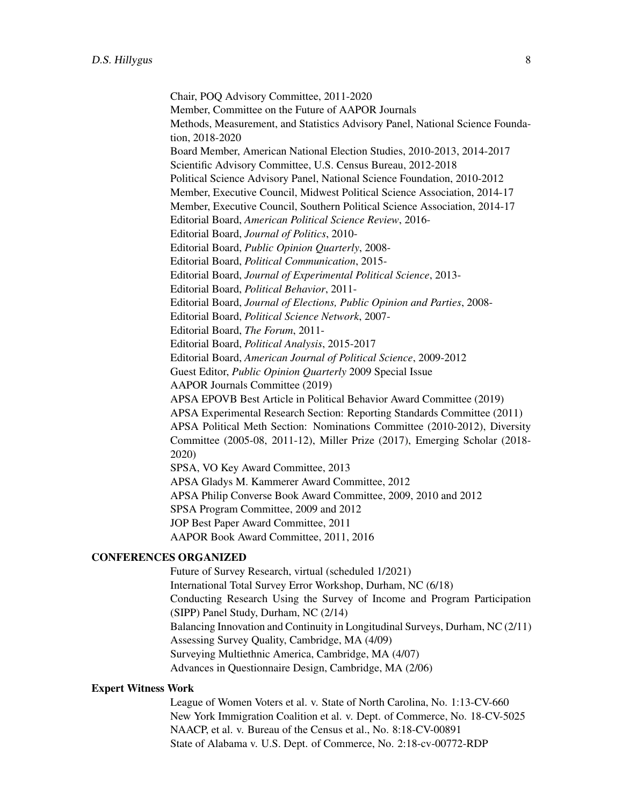Chair, POQ Advisory Committee, 2011-2020 Member, Committee on the Future of AAPOR Journals Methods, Measurement, and Statistics Advisory Panel, National Science Foundation, 2018-2020 Board Member, American National Election Studies, 2010-2013, 2014-2017 Scientific Advisory Committee, U.S. Census Bureau, 2012-2018 Political Science Advisory Panel, National Science Foundation, 2010-2012 Member, Executive Council, Midwest Political Science Association, 2014-17 Member, Executive Council, Southern Political Science Association, 2014-17 Editorial Board, *American Political Science Review*, 2016- Editorial Board, *Journal of Politics*, 2010- Editorial Board, *Public Opinion Quarterly*, 2008- Editorial Board, *Political Communication*, 2015- Editorial Board, *Journal of Experimental Political Science*, 2013- Editorial Board, *Political Behavior*, 2011- Editorial Board, *Journal of Elections, Public Opinion and Parties*, 2008- Editorial Board, *Political Science Network*, 2007- Editorial Board, *The Forum*, 2011- Editorial Board, *Political Analysis*, 2015-2017 Editorial Board, *American Journal of Political Science*, 2009-2012 Guest Editor, *Public Opinion Quarterly* 2009 Special Issue AAPOR Journals Committee (2019) APSA EPOVB Best Article in Political Behavior Award Committee (2019) APSA Experimental Research Section: Reporting Standards Committee (2011) APSA Political Meth Section: Nominations Committee (2010-2012), Diversity Committee (2005-08, 2011-12), Miller Prize (2017), Emerging Scholar (2018- 2020) SPSA, VO Key Award Committee, 2013 APSA Gladys M. Kammerer Award Committee, 2012 APSA Philip Converse Book Award Committee, 2009, 2010 and 2012 SPSA Program Committee, 2009 and 2012 JOP Best Paper Award Committee, 2011 AAPOR Book Award Committee, 2011, 2016

#### CONFERENCES ORGANIZED

Future of Survey Research, virtual (scheduled 1/2021) International Total Survey Error Workshop, Durham, NC (6/18) Conducting Research Using the Survey of Income and Program Participation (SIPP) Panel Study, Durham, NC (2/14) Balancing Innovation and Continuity in Longitudinal Surveys, Durham, NC (2/11) Assessing Survey Quality, Cambridge, MA (4/09) Surveying Multiethnic America, Cambridge, MA (4/07) Advances in Questionnaire Design, Cambridge, MA (2/06)

#### Expert Witness Work

League of Women Voters et al. v. State of North Carolina, No. 1:13-CV-660 New York Immigration Coalition et al. v. Dept. of Commerce, No. 18-CV-5025 NAACP, et al. v. Bureau of the Census et al., No. 8:18-CV-00891 State of Alabama v. U.S. Dept. of Commerce, No. 2:18-cv-00772-RDP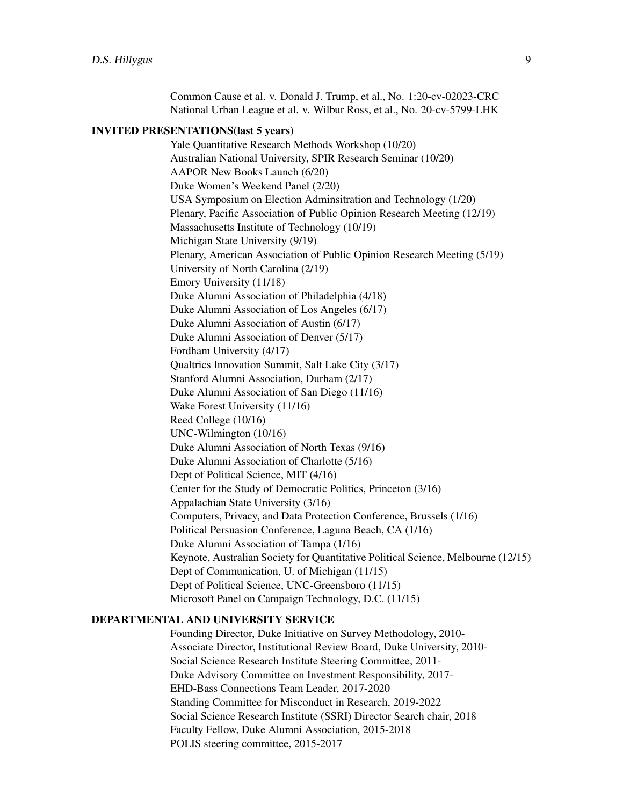Common Cause et al. v. Donald J. Trump, et al., No. 1:20-cv-02023-CRC National Urban League et al. v. Wilbur Ross, et al., No. 20-cv-5799-LHK

#### INVITED PRESENTATIONS(last 5 years)

Yale Quantitative Research Methods Workshop (10/20) Australian National University, SPIR Research Seminar (10/20) AAPOR New Books Launch (6/20) Duke Women's Weekend Panel (2/20) USA Symposium on Election Adminsitration and Technology (1/20) Plenary, Pacific Association of Public Opinion Research Meeting (12/19) Massachusetts Institute of Technology (10/19) Michigan State University (9/19) Plenary, American Association of Public Opinion Research Meeting (5/19) University of North Carolina (2/19) Emory University (11/18) Duke Alumni Association of Philadelphia (4/18) Duke Alumni Association of Los Angeles (6/17) Duke Alumni Association of Austin (6/17) Duke Alumni Association of Denver (5/17) Fordham University (4/17) Qualtrics Innovation Summit, Salt Lake City (3/17) Stanford Alumni Association, Durham (2/17) Duke Alumni Association of San Diego (11/16) Wake Forest University (11/16) Reed College (10/16) UNC-Wilmington (10/16) Duke Alumni Association of North Texas (9/16) Duke Alumni Association of Charlotte (5/16) Dept of Political Science, MIT (4/16) Center for the Study of Democratic Politics, Princeton (3/16) Appalachian State University (3/16) Computers, Privacy, and Data Protection Conference, Brussels (1/16) Political Persuasion Conference, Laguna Beach, CA (1/16) Duke Alumni Association of Tampa (1/16) Keynote, Australian Society for Quantitative Political Science, Melbourne (12/15) Dept of Communication, U. of Michigan (11/15) Dept of Political Science, UNC-Greensboro (11/15) Microsoft Panel on Campaign Technology, D.C. (11/15)

## DEPARTMENTAL AND UNIVERSITY SERVICE

Founding Director, Duke Initiative on Survey Methodology, 2010- Associate Director, Institutional Review Board, Duke University, 2010- Social Science Research Institute Steering Committee, 2011- Duke Advisory Committee on Investment Responsibility, 2017- EHD-Bass Connections Team Leader, 2017-2020 Standing Committee for Misconduct in Research, 2019-2022 Social Science Research Institute (SSRI) Director Search chair, 2018 Faculty Fellow, Duke Alumni Association, 2015-2018 POLIS steering committee, 2015-2017